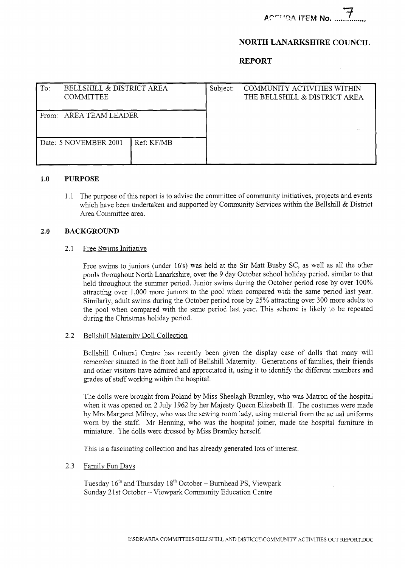**ACTMDA ITEM No. ..** 

# **NORTH LANARKSHIRE COUNCIL**

## **REPORT**

| To:                       | BELLSHILL & DISTRICT AREA<br><b>COMMITTEE</b> |            | Subject: | COMMUNITY ACTIVITIES WITHIN<br>THE BELLSHILL & DISTRICT AREA |
|---------------------------|-----------------------------------------------|------------|----------|--------------------------------------------------------------|
| AREA TEAM LEADER<br>From: |                                               |            |          |                                                              |
|                           | Date: 5 NOVEMBER 2001                         | Ref: KF/MB |          |                                                              |

## **1.0 PURPOSE**

1.1 The purpose of this report is to advise the committee of community initiatives, projects and events which have been undertaken and supported by Community Services within the Bellshill & District Area Committee area.

## **2.0 BACKGROUND**

## 2.1 Free Swims Initiative

Free swims to juniors (under 16's) was held at the Sir Matt Busby SC, as well as all the other pools throughout North Lanarkshire, over the 9 day October school holiday period, similar to that held throughout the summer period. Junior swims during the October period rose by over 100% attracting over 1,000 more juniors to the pool when compared with the same period last year. Similarly, adult swims during the October period rose by 25% attracting over 300 more adults to the pool when compared with the same period last year. This scheme is likely to be repeated during the Christmas holiday period.

### 2.2 Bellshill Maternity Doll Collection

Bellshill Cultural Centre has recently been given the display case of dolls that many will remember situated in the front hall of Bellshill Maternity. Generations of families, their friends and other visitors have admired and appreciated it, using it to identify the different members and grades of staff working within the hospital.

The dolls were brought from Poland by Miss Sheelagh Bramley, who was Matron of the hospital when it was opened on 2 July 1962 by her Majesty Queen Elizabeth 11. The costumes were made by Mrs Margaret Milroy, who was the sewing room lady, using material from the actual uniforms worn by the staff. Mr Henning, who was the hospital joiner, made the hospital furniture in miniature. The dolls were dressed by Miss Bramley herself.

This is a fascinating collection and has already generated lots of interest.

## 2.3 Familv Fun Days

Tuesday 16<sup>th</sup> and Thursday 18<sup>th</sup> October – Burnhead PS, Viewpark Sunday 21st October - Viewpark Community Education Centre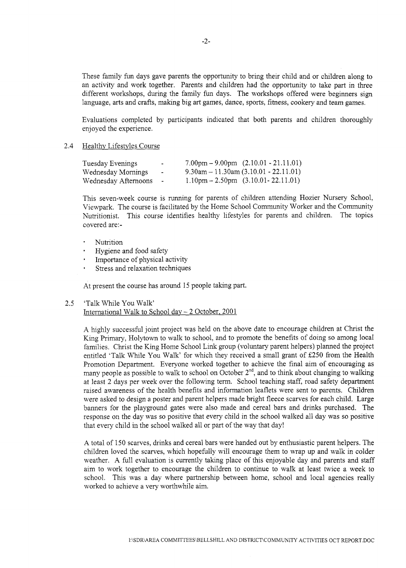These family fun days gave parents the opportunity to bring their child and or children along to an activity and work together. Parents and children had the opportunity to take part in three different workshops, during the family fun days. The workshops offered were beginners sign language, arts and crafts, making big art games, dance, sports, fitness, cookery and team games.

Evaluations completed by participants indicated that both parents and children thoroughly enjoyed the experience.

#### 2.4 Healthy Lifestyles Course

| Tuesday Evenings     | $\overline{\phantom{a}}$ | $7.00 \text{pm} - 9.00 \text{pm}$ $(2.10.01 - 21.11.01)$ |
|----------------------|--------------------------|----------------------------------------------------------|
| Wednesday Mornings   | $\overline{\phantom{a}}$ | $9.30$ am $-11.30$ am $(3.10.01 - 22.11.01)$             |
| Wednesday Afternoons |                          | $1.10 \text{pm} - 2.50 \text{pm}$ (3.10.01 - 22.11.01)   |

This seven-week course is running for parents of children attending Hozier Nursery School, Viewpark. The course is facilitated by the Home School Community Worker and the Community Nutritionist. This course identifies healthy lifestyles for parents and children. The topics covered are:-

- Nutrition
- Hygiene and food safety
- Importance of physical activity
- Stress and relaxation techniques

At present the course has around 15 people taking part.

#### 2.5 'Talk While You Walk'

International Walk to School day  $-$  2 October, 2001

A highly successful joint project was held on the above date to encourage children at Christ the King Primary, Holytown to walk to school, and to promote the benefits of doing so among local families. Christ the King Home School Link group (voluntary parent helpers) planned the project entitled 'Talk While You Walk' for which they received a small grant of £250 from the Health Promotion Department. Everyone worked together to achieve the final aim of encouraging as many people as possible to walk to school on October  $2<sup>nd</sup>$ , and to think about changing to walking at least 2 days per week over the following term. School teaching staff, road safety department raised awareness of the health benefits and information leaflets were sent to parents. Children were asked to design a poster and parent helpers made bright fleece scarves for each child. Large banners for the playground gates were also made and cereal bars and drinks purchased. The response on the day was so positive that every child in the school walked all day was so positive that every child in the school walked all or part of the way that day!

**A** total of 150 scarves, drinks and cereal bars were handed out by enthusiastic parent helpers. The children loved the scarves, which hopefully will encourage them to wrap up and walk in colder weather. A full evaluation is currently taking place of this enjoyable day and parents and staff aim to work together to encourage the children to continue to walk at least twice a week to school. This was a day where partnership between home, school and local agencies really worked to achieve a very worthwhile aim.